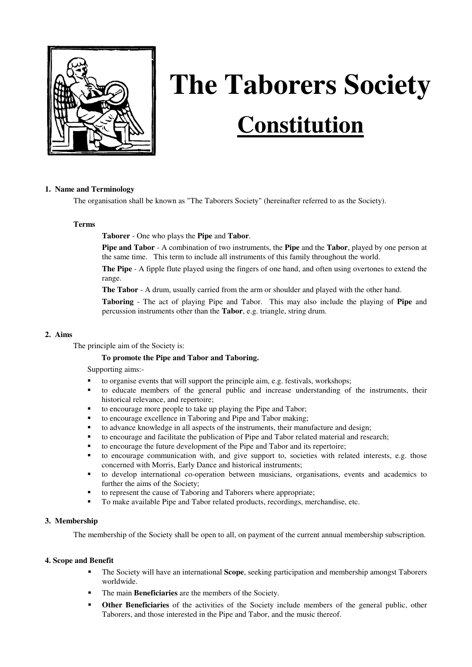

# **The Taborers Society Constitution**

# **1. Name and Terminology**

The organisation shall be known as "The Taborers Society" (hereinafter referred to as the Society).

#### **Terms**

**Taborer** - One who plays the **Pipe** and **Tabor**.

**Pipe and Tabor** - A combination of two instruments, the **Pipe** and the **Tabor**, played by one person at the same time. This term to include all instruments of this family throughout the world.

**The Pipe** - A fipple flute played using the fingers of one hand, and often using overtones to extend the range.

**The Tabor** - A drum, usually carried from the arm or shoulder and played with the other hand.

**Taboring** - The act of playing Pipe and Tabor. This may also include the playing of **Pipe** and percussion instruments other than the **Tabor**, e.g. triangle, string drum.

#### **2. Aims**

The principle aim of the Society is:

#### **To promote the Pipe and Tabor and Taboring.**

Supporting aims:-

- to organise events that will support the principle aim, e.g. festivals, workshops;
- to educate members of the general public and increase understanding of the instruments, their historical relevance, and repertoire;
- to encourage more people to take up playing the Pipe and Tabor;
- to encourage excellence in Taboring and Pipe and Tabor making;
- to advance knowledge in all aspects of the instruments, their manufacture and design;
- to encourage and facilitate the publication of Pipe and Tabor related material and research;
- to encourage the future development of the Pipe and Tabor and its repertoire;
- to encourage communication with, and give support to, societies with related interests, e.g. those concerned with Morris, Early Dance and historical instruments;
- to develop international co-operation between musicians, organisations, events and academics to further the aims of the Society;
- to represent the cause of Taboring and Taborers where appropriate;
- To make available Pipe and Tabor related products, recordings, merchandise, etc.

#### **3. Membership**

The membership of the Society shall be open to all, on payment of the current annual membership subscription.

#### **4. Scope and Benefit**

- The Society will have an international **Scope**, seeking participation and membership amongst Taborers worldwide.
- The main **Beneficiaries** are the members of the Society.
- **Other Beneficiaries** of the activities of the Society include members of the general public, other Taborers, and those interested in the Pipe and Tabor, and the music thereof.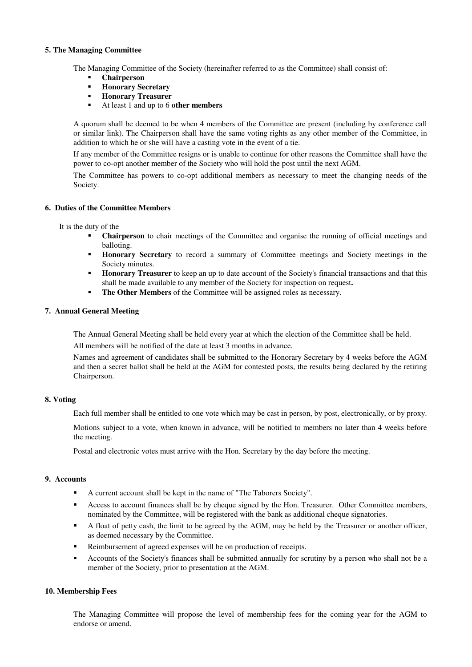## **5. The Managing Committee**

The Managing Committee of the Society (hereinafter referred to as the Committee) shall consist of:

- **Chairperson**
- **Honorary Secretary**
- **Honorary Treasurer**
- At least 1 and up to 6 **other members**

A quorum shall be deemed to be when 4 members of the Committee are present (including by conference call or similar link). The Chairperson shall have the same voting rights as any other member of the Committee, in addition to which he or she will have a casting vote in the event of a tie.

If any member of the Committee resigns or is unable to continue for other reasons the Committee shall have the power to co-opt another member of the Society who will hold the post until the next AGM.

The Committee has powers to co-opt additional members as necessary to meet the changing needs of the Society.

## **6. Duties of the Committee Members**

It is the duty of the

- **Chairperson** to chair meetings of the Committee and organise the running of official meetings and balloting.
- **Honorary Secretary** to record a summary of Committee meetings and Society meetings in the Society minutes.
- **Honorary Treasurer** to keep an up to date account of the Society's financial transactions and that this shall be made available to any member of the Society for inspection on request**.**
- **The Other Members** of the Committee will be assigned roles as necessary.

## **7. Annual General Meeting**

The Annual General Meeting shall be held every year at which the election of the Committee shall be held.

All members will be notified of the date at least 3 months in advance.

Names and agreement of candidates shall be submitted to the Honorary Secretary by 4 weeks before the AGM and then a secret ballot shall be held at the AGM for contested posts, the results being declared by the retiring Chairperson.

# **8. Voting**

Each full member shall be entitled to one vote which may be cast in person, by post, electronically, or by proxy.

Motions subject to a vote, when known in advance, will be notified to members no later than 4 weeks before the meeting.

Postal and electronic votes must arrive with the Hon. Secretary by the day before the meeting.

## **9. Accounts**

- A current account shall be kept in the name of "The Taborers Society".
- Access to account finances shall be by cheque signed by the Hon. Treasurer. Other Committee members, nominated by the Committee, will be registered with the bank as additional cheque signatories.
- A float of petty cash, the limit to be agreed by the AGM, may be held by the Treasurer or another officer, as deemed necessary by the Committee.
- Reimbursement of agreed expenses will be on production of receipts.
- Accounts of the Society's finances shall be submitted annually for scrutiny by a person who shall not be a member of the Society, prior to presentation at the AGM.

# **10. Membership Fees**

The Managing Committee will propose the level of membership fees for the coming year for the AGM to endorse or amend.